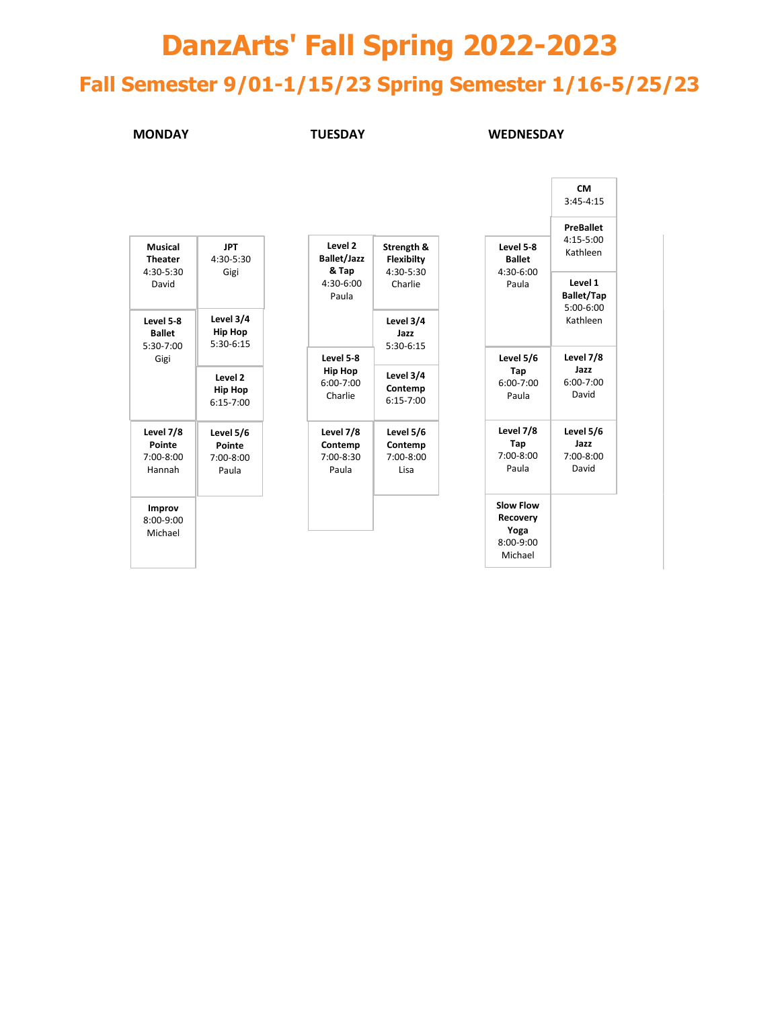# **DanzArts' Fall Spring 2022-2023 Fall Semester 9/01-1/15/23 Spring Semester 1/16-5/25/23**

**MONDAY TUESDAY WEDNESDAY**

|                                         |                                            |                                            |                                       |                               | <b>CM</b><br>$3:45 - 4:15$                    |  |  |
|-----------------------------------------|--------------------------------------------|--------------------------------------------|---------------------------------------|-------------------------------|-----------------------------------------------|--|--|
| Musical<br><b>Theater</b>               | <b>JPT</b><br>4:30-5:30                    | Level 2<br><b>Ballet/Jazz</b>              | Strength &<br><b>Flexibilty</b>       | Level 5-8<br><b>Ballet</b>    | <b>PreBallet</b><br>$4:15 - 5:00$<br>Kathleen |  |  |
| 4:30-5:30<br>David                      | Gigi                                       | & Tap<br>$4:30-6:00$<br>Paula              | 4:30-5:30<br>Charlie                  | $4:30-6:00$<br>Paula          | Level 1<br><b>Ballet/Tap</b><br>$5:00-6:00$   |  |  |
| Level 5-8<br><b>Ballet</b><br>5:30-7:00 | Level 3/4<br><b>Hip Hop</b><br>5:30-6:15   |                                            | Level 3/4<br>Jazz<br>$5:30-6:15$      |                               | Kathleen                                      |  |  |
| Gigi                                    |                                            | Level 5-8                                  |                                       | Level 5/6                     | Level 7/8<br>Jazz<br>$6:00 - 7:00$<br>David   |  |  |
|                                         | Level 2<br><b>Hip Hop</b><br>$6:15 - 7:00$ | <b>Hip Hop</b><br>$6:00 - 7:00$<br>Charlie | Level 3/4<br>Contemp<br>$6:15 - 7:00$ | Tap<br>$6:00 - 7:00$<br>Paula |                                               |  |  |
| Level 7/8                               | Level 5/6                                  | Level 7/8                                  | Level 5/6                             | Level 7/8                     | Level 5/6                                     |  |  |
| Pointe<br>$7:00-8:00$<br>Hannah         | Pointe<br>$7:00-8:00$<br>Paula             | Contemp<br>7:00-8:30<br>Paula              | Contemp<br>$7:00-8:00$<br>Lisa        | Tap<br>$7:00 - 8:00$<br>Paula | Jazz<br>$7:00-8:00$<br>David                  |  |  |
| Improv<br>$8:00-9:00$<br>Michael        |                                            |                                            |                                       | Slow Flow<br>Recovery<br>Yoga |                                               |  |  |
|                                         |                                            |                                            |                                       | $8:00-9:00$<br>Michael        |                                               |  |  |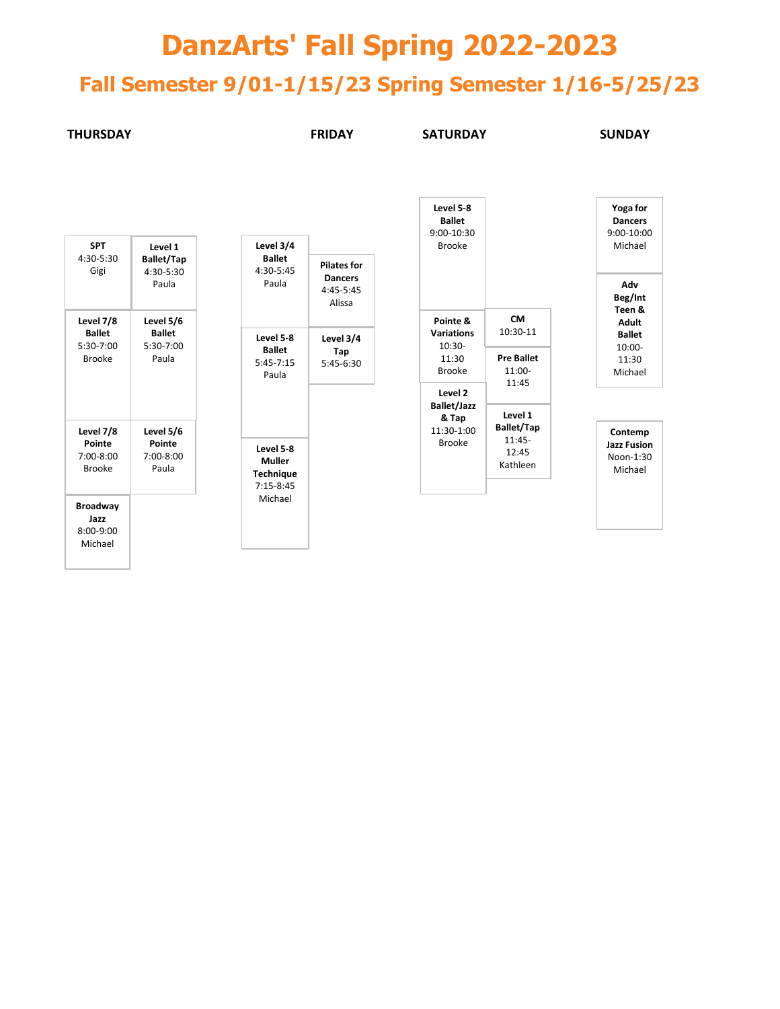## **DanzArts' Fall Spring 2022-2023**

### **Fall Semester 9/01-1/15/23 Spring Semester 1/16-5/25/23**

#### **THURSDAY FRIDAY SATURDAY SUNDAY**

**Level 5-8 Ballet**

| <b>SPT</b><br>$4:30-5:30$<br>Gigi          | Level 1<br><b>Ballet/Tap</b><br>$4:30-5:30$<br>Paula |
|--------------------------------------------|------------------------------------------------------|
| Level 7/8                                  | Level 5/6                                            |
| <b>Ballet</b>                              | <b>Ballet</b>                                        |
| 5:30-7:00                                  | 5:30-7:00                                            |
| <b>Brooke</b>                              | Paula                                                |
| Level 7/8                                  | Level 5/6                                            |
| Pointe                                     | Pointe                                               |
| 7:00-8:00                                  | $7:00-8:00$                                          |
| <b>Brooke</b>                              | Paula                                                |
| Broadway<br>Jazz<br>$8:00-9:00$<br>Michael |                                                      |

| Level 3/4<br><b>Ballet</b><br>4:30-5:45<br>Paula                  | <b>Pilates for</b><br>Dancers<br>4:45-5:45<br>Alissa |
|-------------------------------------------------------------------|------------------------------------------------------|
| Level 5-8<br><b>Ballet</b><br>$5:45 - 7:15$<br>Paula              | Level 3/4<br>Tap<br>$5:45-6:30$                      |
| Level 5-8<br>Muller<br><b>Technique</b><br>$7:15-8:45$<br>Michael |                                                      |

|                                                                             |                                                             |  | 9:00-10:30                                           |                                      |
|-----------------------------------------------------------------------------|-------------------------------------------------------------|--|------------------------------------------------------|--------------------------------------|
| Level 3/4<br><b>Ballet</b><br>4:30-5:45<br>Paula                            | <b>Pilates for</b><br><b>Dancers</b><br>4:45-5:45<br>Alissa |  | <b>Brooke</b>                                        |                                      |
| Level 5-8                                                                   | Level 3/4                                                   |  | Pointe &<br><b>Variations</b><br>$10:30-$            | <b>CM</b><br>10:30-11                |
| <b>Ballet</b><br>5:45-7:15<br>Paula                                         | Tap<br>5:45-6:30                                            |  | 11:30<br><b>Brooke</b>                               | <b>Pre Ballet</b><br>11:00-<br>11:45 |
|                                                                             |                                                             |  | Level 2<br><b>Ballet/Jazz</b><br>& Tap<br>11:30-1:00 | Level 1<br><b>Ballet/Tap</b>         |
| Level 5-8<br><b>Muller</b><br><b>Technique</b><br>7:15-8:45<br>$8.81 - 1.7$ |                                                             |  | <b>Brooke</b>                                        | 11:45-<br>12:45<br>Kathleen          |

| Yoga for<br>Dancers<br>9:00-10:00<br>Michael                                     |
|----------------------------------------------------------------------------------|
| Adv<br>Beg/Int<br>Teen &<br>Adult<br><b>Ballet</b><br>10:00-<br>11:30<br>Michael |
|                                                                                  |

**Contemp Jazz Fusion**  Noon-1:30 Michael